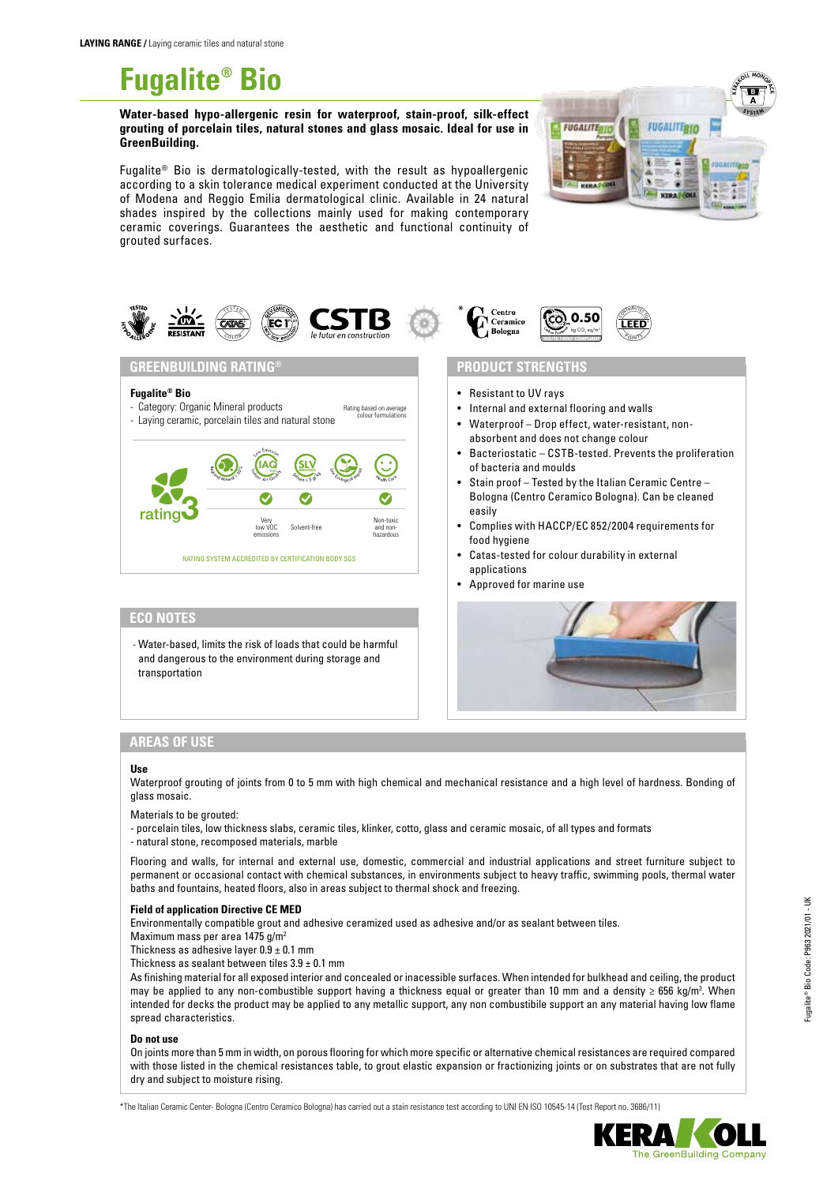

**Water-based hypo-allergenic resin for waterproof, stain-proof, silk-effect grouting of porcelain tiles, natural stones and glass mosaic. Ideal for use in GreenBuilding.**

Fugalite® Bio is dermatologically-tested, with the result as hypoallergenic according to a skin tolerance medical experiment conducted at the University of Modena and Reggio Emilia dermatological clinic. Available in 24 natural shades inspired by the collections mainly used for making contemporary ceramic coverings. Guarantees the aesthetic and functional continuity of grouted surfaces.





 $S_{\text{Weyl}_1} \leq 5 \text{ g/s}$  $\sum_{m=1}^{\infty}$  Reduced Impact  $\sum_{m=1}^{\infty}$ 

Solvent-free



## **PRODUCT STRENGTHS**

- Resistant to UV rays
- Internal and external flooring and walls
- Waterproof Drop effect, water-resistant, nonabsorbent and does not change colour
- Bacteriostatic CSTB-tested. Prevents the proliferation of bacteria and moulds
- Stain proof Tested by the Italian Ceramic Centre Bologna (Centro Ceramico Bologna). Can be cleaned easily
- Complies with HACCP/EC 852/2004 requirements for food hygiene
- Catas-tested for colour durability in external applications
- Approved for marine use



#### and dangerous to the environment during storage and transportation

**ECO NOTES**

rating3

**Fugalite® Bio**

- Category: Organic Mineral products

**GREENBUILDING RATING®**

- Laying ceramic, porcelain tiles and natural stone

Regional Age of 20 %

## **AREAS OF USE**

#### **Use**

Waterproof grouting of joints from 0 to 5 mm with high chemical and mechanical resistance and a high level of hardness. Bonding of glass mosaic.

Materials to be grouted:

- porcelain tiles, low thickness slabs, ceramic tiles, klinker, cotto, glass and ceramic mosaic, of all types and formats - natural stone, recomposed materials, marble

<sup>H</sup><sup>e</sup>alt<sup>h</sup> <sup>C</sup>ar<sup>e</sup>

 $\bullet$ 

Rating based on average colour formulations

Non-toxic and nonhazardous

Flooring and walls, for internal and external use, domestic, commercial and industrial applications and street furniture subject to permanent or occasional contact with chemical substances, in environments subject to heavy traffic, swimming pools, thermal water baths and fountains, heated floors, also in areas subject to thermal shock and freezing.

#### **Field of application Directive CE MED**

Environmentally compatible grout and adhesive ceramized used as adhesive and/or as sealant between tiles.

Maximum mass per area 1475 g/m<sup>2</sup>

Thickness as adhesive layer  $0.9 \pm 0.1$  mm

Thickness as sealant between tiles  $3.9 \pm 0.1$  mm

- Water-based, limits the risk of loads that could be harmful

RATING SYSTEM ACCREDITED BY CERTIFICATION BODY SGS

Very low VOC emissions

 $\left(\underset{\lambda_i\in\mathcal{A}}{\text{IAG}}\right)$ Low Emission

As finishing material for all exposed interior and concealed or inacessible surfaces. When intended for bulkhead and ceiling, the product may be applied to any non-combustible support having a thickness equal or greater than 10 mm and a density ≥ 656 kg/m3 . When intended for decks the product may be applied to any metallic support, any non combustibile support an any material having low flame spread characteristics.

#### **Do not use**

On joints more than 5 mm in width, on porous flooring for which more specific or alternative chemical resistances are required compared with those listed in the chemical resistances table, to grout elastic expansion or fractionizing joints or on substrates that are not fully dry and subject to moisture rising.

\*The Italian Ceramic Center- Bologna (Centro Ceramico Bologna) has carried out a stain resistance test according to UNI EN ISO 10545-14 (Test Report no. 3686/11)

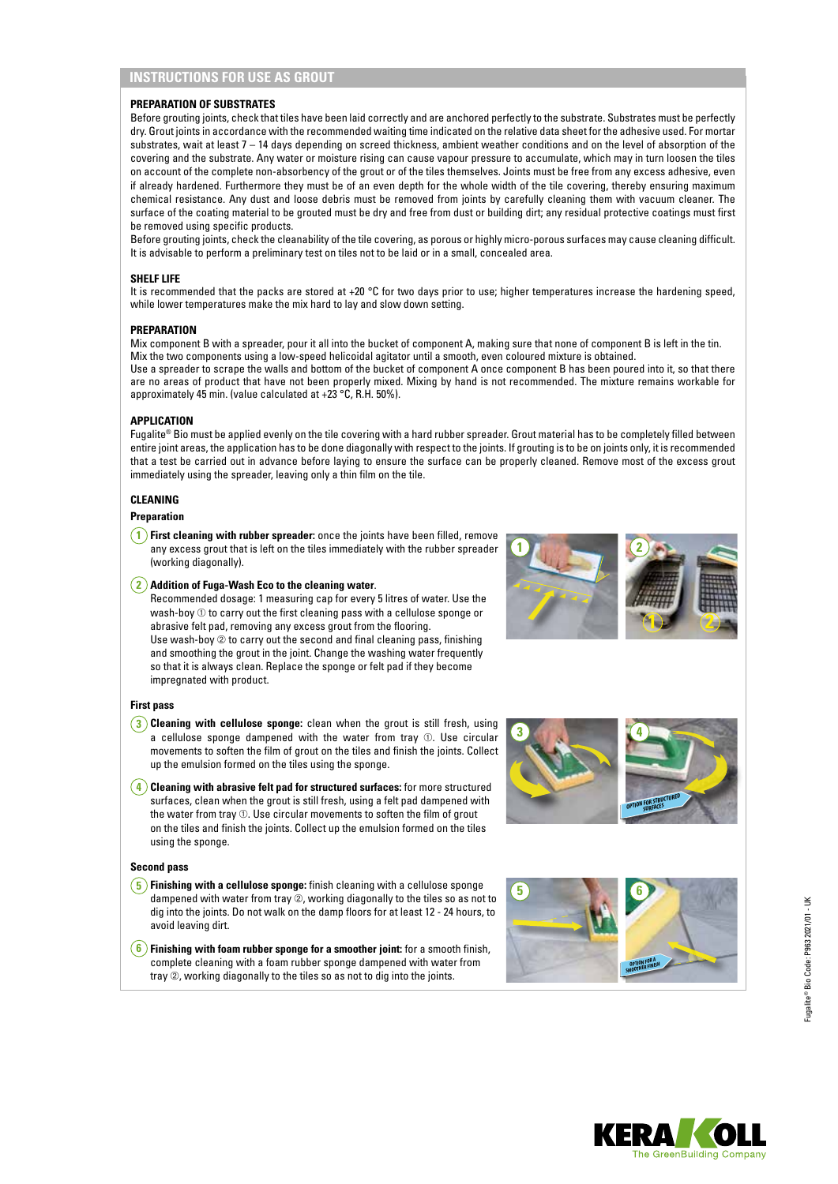# **INSTRUCTIONS FOR USE AS GROUT**

### **PREPARATION OF SUBSTRATES**

Before grouting joints, check that tiles have been laid correctly and are anchored perfectly to the substrate. Substrates must be perfectly dry. Grout joints in accordance with the recommended waiting time indicated on the relative data sheet for the adhesive used. For mortar substrates, wait at least 7 – 14 days depending on screed thickness, ambient weather conditions and on the level of absorption of the covering and the substrate. Any water or moisture rising can cause vapour pressure to accumulate, which may in turn loosen the tiles on account of the complete non-absorbency of the grout or of the tiles themselves. Joints must be free from any excess adhesive, even if already hardened. Furthermore they must be of an even depth for the whole width of the tile covering, thereby ensuring maximum chemical resistance. Any dust and loose debris must be removed from joints by carefully cleaning them with vacuum cleaner. The surface of the coating material to be grouted must be dry and free from dust or building dirt; any residual protective coatings must first be removed using specific products.

Before grouting joints, check the cleanability of the tile covering, as porous or highly micro-porous surfaces may cause cleaning difficult. It is advisable to perform a preliminary test on tiles not to be laid or in a small, concealed area.

#### **SHELF LIFE**

It is recommended that the packs are stored at +20  $\degree$ C for two days prior to use; higher temperatures increase the hardening speed, while lower temperatures make the mix hard to lay and slow down setting.

#### **PREPARATION**

Mix component B with a spreader, pour it all into the bucket of component A, making sure that none of component B is left in the tin. Mix the two components using a low-speed helicoidal agitator until a smooth, even coloured mixture is obtained. Use a spreader to scrape the walls and bottom of the bucket of component A once component B has been poured into it, so that there are no areas of product that have not been properly mixed. Mixing by hand is not recommended. The mixture remains workable for approximately 45 min. (value calculated at +23 °C, R.H. 50%).

#### **APPLICATION**

Fugalite® Bio must be applied evenly on the tile covering with a hard rubber spreader. Grout material has to be completely filled between entire joint areas, the application has to be done diagonally with respect to the joints. If grouting is to be on joints only, it is recommended that a test be carried out in advance before laying to ensure the surface can be properly cleaned. Remove most of the excess grout immediately using the spreader, leaving only a thin film on the tile.

# **CLEANING**

## **Preparation**

**1 First cleaning with rubber spreader:** once the joints have been filled, remove any excess grout that is left on the tiles immediately with the rubber spreader (working diagonally).

#### **2 Addition of Fuga-Wash Eco to the cleaning water**.

Recommended dosage: 1 measuring cap for every 5 litres of water. Use the wash-boy  $\textcircled{\tiny 1}$  to carry out the first cleaning pass with a cellulose sponge or abrasive felt pad, removing any excess grout from the flooring. Use wash-boy  $\oslash$  to carry out the second and final cleaning pass, finishing and smoothing the grout in the joint. Change the washing water frequently so that it is always clean. Replace the sponge or felt pad if they become impregnated with product.

#### **First pass**

- **3 Cleaning with cellulose sponge:** clean when the grout is still fresh, using a cellulose sponge dampened with the water from tray ➀. Use circular movements to soften the film of grout on the tiles and finish the joints. Collect up the emulsion formed on the tiles using the sponge.
- **4 Cleaning with abrasive felt pad for structured surfaces:** for more structured surfaces, clean when the grout is still fresh, using a felt pad dampened with the water from tray **①. Use circular movements to soften the film of grout** on the tiles and finish the joints. Collect up the emulsion formed on the tiles using the sponge.

#### **Second pass**

- **5 Finishing with a cellulose sponge:** finish cleaning with a cellulose sponge dampened with water from tray ➁, working diagonally to the tiles so as not to dig into the joints. Do not walk on the damp floors for at least 12 - 24 hours, to avoid leaving dirt.
- **6 Finishing with foam rubber sponge for a smoother joint:** for a smooth finish, complete cleaning with a foam rubber sponge dampened with water from tray  $\oslash$ , working diagonally to the tiles so as not to dig into the joints.







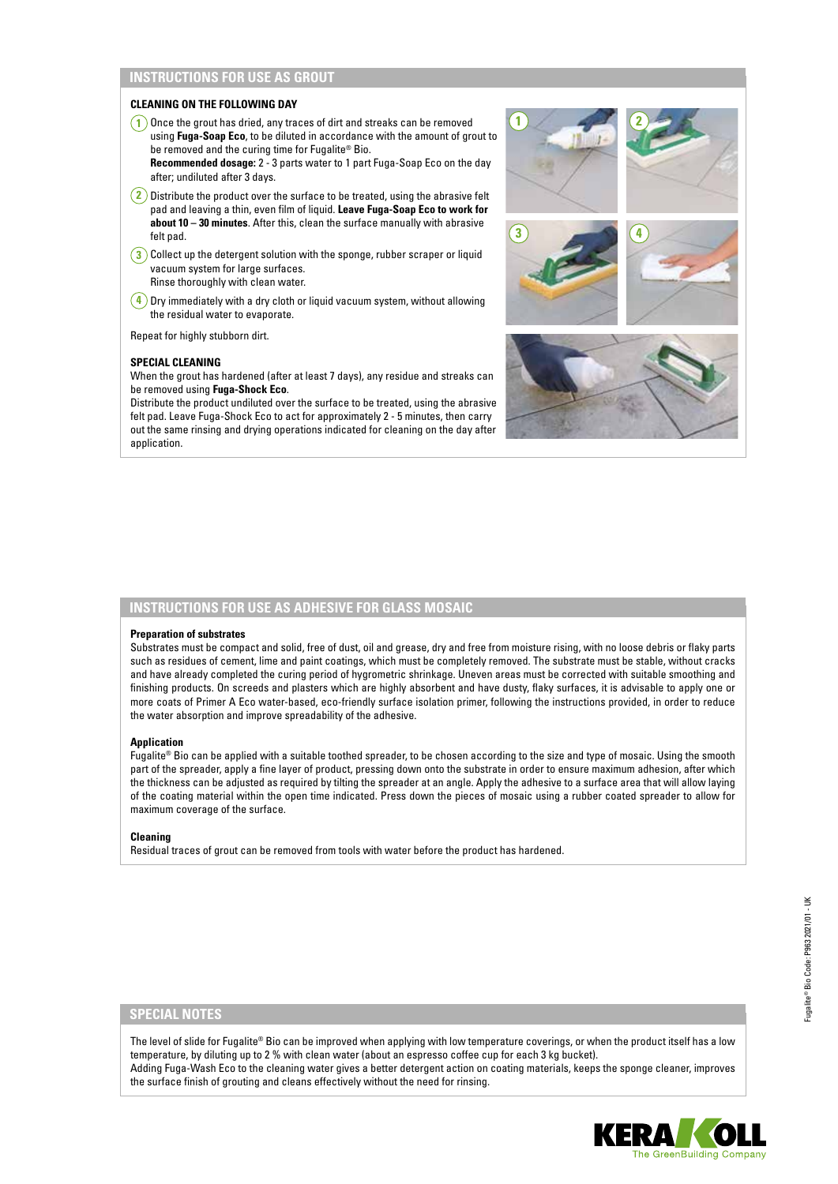# **INSTRUCTIONS FOR USE AS GROUT**

### **CLEANING ON THE FOLLOWING DAY**

- **1** Once the grout has dried, any traces of dirt and streaks can be removed using **Fuga-Soap Eco**, to be diluted in accordance with the amount of grout to be removed and the curing time for Fugalite® Bio.
- **Recommended dosage:** 2 3 parts water to 1 part Fuga-Soap Eco on the day after; undiluted after 3 days.
- **2** Distribute the product over the surface to be treated, using the abrasive felt pad and leaving a thin, even film of liquid. **Leave Fuga-Soap Eco to work for about 10 – 30 minutes**. After this, clean the surface manually with abrasive felt pad.
- **3** Collect up the detergent solution with the sponge, rubber scraper or liquid vacuum system for large surfaces. Rinse thoroughly with clean water.
- **4** Dry immediately with a dry cloth or liquid vacuum system, without allowing the residual water to evaporate.

Repeat for highly stubborn dirt.

### **SPECIAL CLEANING**

When the grout has hardened (after at least 7 days), any residue and streaks can be removed using **Fuga-Shock Eco**.

Distribute the product undiluted over the surface to be treated, using the abrasive felt pad. Leave Fuga-Shock Eco to act for approximately 2 - 5 minutes, then carry out the same rinsing and drying operations indicated for cleaning on the day after application



# **INSTRUCTIONS FOR USE AS ADHESIVE FOR GLASS MOSAIC**

#### **Preparation of substrates**

Substrates must be compact and solid, free of dust, oil and grease, dry and free from moisture rising, with no loose debris or flaky parts such as residues of cement, lime and paint coatings, which must be completely removed. The substrate must be stable, without cracks and have already completed the curing period of hygrometric shrinkage. Uneven areas must be corrected with suitable smoothing and finishing products. On screeds and plasters which are highly absorbent and have dusty, flaky surfaces, it is advisable to apply one or more coats of Primer A Eco water-based, eco-friendly surface isolation primer, following the instructions provided, in order to reduce the water absorption and improve spreadability of the adhesive.

#### **Application**

Fugalite® Bio can be applied with a suitable toothed spreader, to be chosen according to the size and type of mosaic. Using the smooth part of the spreader, apply a fine layer of product, pressing down onto the substrate in order to ensure maximum adhesion, after which the thickness can be adjusted as required by tilting the spreader at an angle. Apply the adhesive to a surface area that will allow laying of the coating material within the open time indicated. Press down the pieces of mosaic using a rubber coated spreader to allow for maximum coverage of the surface.

#### **Cleaning**

Residual traces of grout can be removed from tools with water before the product has hardened.

The level of slide for Fugalite® Bio can be improved when applying with low temperature coverings, or when the product itself has a low temperature, by diluting up to 2 % with clean water (about an espresso coffee cup for each 3 kg bucket). Adding Fuga-Wash Eco to the cleaning water gives a better detergent action on coating materials, keeps the sponge cleaner, improves the surface finish of grouting and cleans effectively without the need for rinsing.

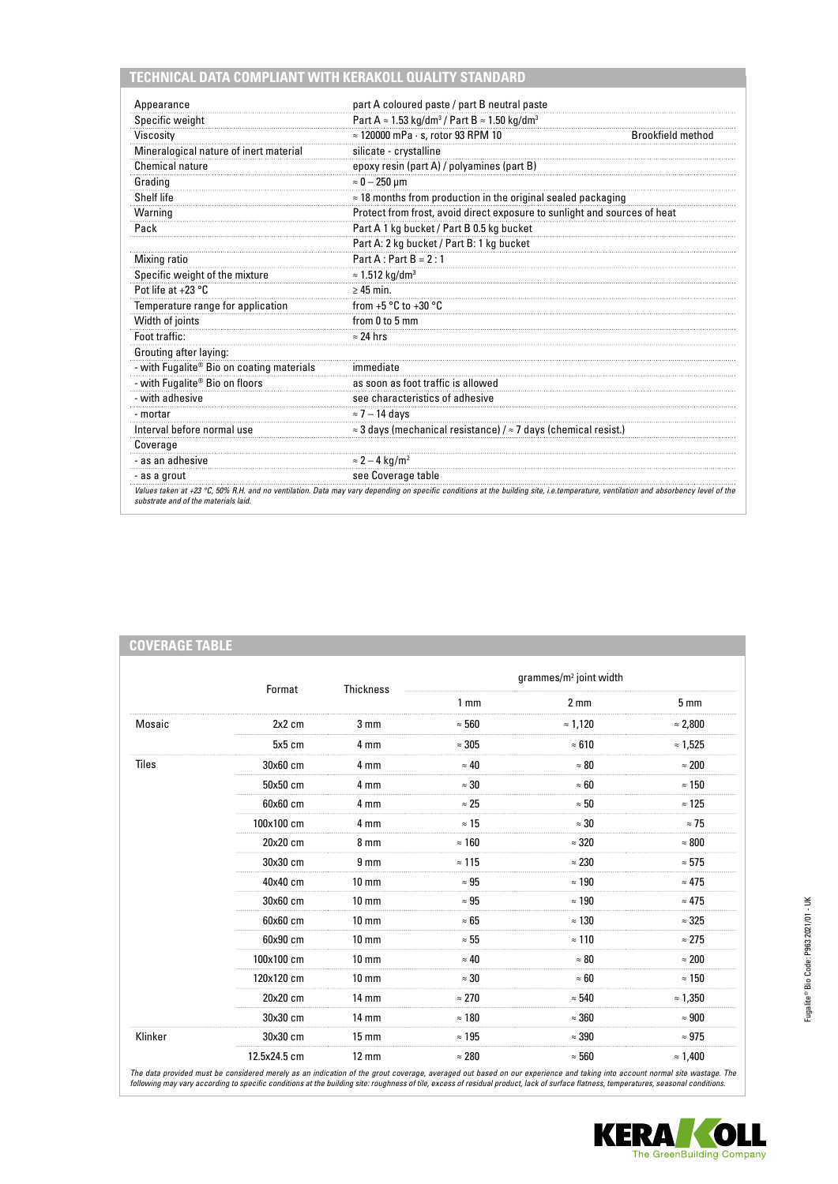# **TECHNICAL DATA COMPLIANT WITH KERAKOLL QUALITY STANDARD**

**COVERAGE TABLE**

| Appearance                                | part A coloured paste / part B neutral paste                                        |                          |
|-------------------------------------------|-------------------------------------------------------------------------------------|--------------------------|
| Specific weight                           | Part A $\approx$ 1.53 kg/dm <sup>3</sup> / Part B $\approx$ 1.50 kg/dm <sup>3</sup> |                          |
| Viscosity                                 | $\approx$ 120000 mPa $\cdot$ s, rotor 93 RPM 10                                     | <b>Brookfield method</b> |
| Mineralogical nature of inert material    | silicate - crystalline                                                              |                          |
| Chemical nature                           | epoxy resin (part A) / polyamines (part B)                                          |                          |
| Grading                                   | $\approx 0-250$ µm                                                                  |                          |
| Shelf life                                | $\approx$ 18 months from production in the original sealed packaging                |                          |
| Warning                                   | Protect from frost, avoid direct exposure to sunlight and sources of heat           |                          |
| Pack                                      | Part A 1 kg bucket / Part B 0.5 kg bucket                                           |                          |
|                                           | Part A: 2 kg bucket / Part B: 1 kg bucket                                           |                          |
| Mixing ratio                              | $Part A: Part B = 2:1$                                                              |                          |
| Specific weight of the mixture            | $\approx$ 1.512 kg/dm <sup>3</sup>                                                  |                          |
| Pot life at $+23$ °C                      | $\geq 45$ min.                                                                      |                          |
| Temperature range for application         | from $+5 °C$ to $+30 °C$                                                            |                          |
| Width of joints                           | from 0 to 5 mm                                                                      |                          |
| Foot traffic:                             | $\approx$ 24 hrs                                                                    |                          |
| Grouting after laying:                    |                                                                                     |                          |
| - with Fugalite® Bio on coating materials | immediate                                                                           |                          |
| - with Fugalite® Bio on floors            | as soon as foot traffic is allowed                                                  |                          |
| - with adhesive                           | see characteristics of adhesive                                                     |                          |
| - mortar                                  | $\approx$ 7 – 14 days                                                               |                          |
| Interval before normal use                | $\approx$ 3 days (mechanical resistance) / $\approx$ 7 days (chemical resist.)      |                          |
| Coverage                                  |                                                                                     |                          |
| - as an adhesive                          | $\approx$ 2 – 4 kg/m <sup>2</sup>                                                   |                          |
| - as a grout                              | see Coverage table                                                                  |                          |

|              | Format<br>2x2 cm<br>$5x5$ cm<br>30x60 cm<br>50x50 cm<br>60x60 cm<br>100x100 cm<br>20x20 cm | Thickness         | grammes/m <sup>2</sup> joint width |                 |                 |
|--------------|--------------------------------------------------------------------------------------------|-------------------|------------------------------------|-----------------|-----------------|
|              |                                                                                            |                   | 1 <sub>mm</sub>                    | 2 <sub>mm</sub> | 5 <sub>mm</sub> |
| Mosaic       |                                                                                            | 3 <sub>mm</sub>   | $\approx 560$                      | $\approx 1,120$ | $\approx 2,800$ |
|              |                                                                                            | 4 mm              | $\approx 305$                      | $\approx 610$   | $\approx 1,525$ |
| <b>Tiles</b> |                                                                                            | 4 mm              | $\approx 40$                       | $\approx 80$    | $\approx 200$   |
|              |                                                                                            | 4 mm              | $\approx 30$                       | $\approx 60$    | $\approx 150$   |
|              |                                                                                            | 4 mm              | $\approx 25$                       | $\approx 50$    | $\approx 125$   |
|              |                                                                                            | 4 mm              | $\approx 15$                       | $\approx 30$    | $\approx$ 75    |
|              |                                                                                            | 8 <sub>mm</sub>   | $\approx$ 160                      | $\approx 320$   | $\approx 800$   |
|              | 30x30 cm                                                                                   | 9 <sub>mm</sub>   | $\approx$ 115                      | $\approx 230$   | $\approx 575$   |
|              | 40x40 cm                                                                                   | $10 \text{ mm}$   | $\approx 95$                       | $\approx 190$   | $\approx 475$   |
|              | 30x60 cm                                                                                   | $10 \text{ mm}$   | $\approx 95$                       | $\approx 190$   | $\approx 475$   |
|              | 60x60 cm                                                                                   | $10 \text{ mm}$   | $\approx 65$                       | $\approx$ 130   | $\approx 325$   |
|              | 60x90 cm                                                                                   | $10 \text{ mm}$   | $\approx 55$                       | $\approx 110$   | $\approx 275$   |
|              | 100x100 cm                                                                                 | $10 \text{ mm}$   | $\approx 40$                       | $\approx 80$    | $\approx 200$   |
|              | 120x120 cm                                                                                 | $10 \text{ mm}$   | $\approx 30$                       | $\approx 60$    | $\approx 150$   |
|              | 20x20 cm                                                                                   | $14 \text{ mm}$   | $\approx 270$                      | $\approx 540$   | $\approx 1,350$ |
|              | 30x30 cm                                                                                   | $14 \text{ mm}$   | $\approx$ 180                      | $\approx 360$   | $\approx 900$   |
| Klinker      | 30x30 cm                                                                                   | $15 \text{ mm}$   | $\approx 195$                      | $\approx 390$   | $\approx 975$   |
|              | 12.5x24.5 cm                                                                               | $12 \, \text{mm}$ | $\approx 280$                      | $\approx 560$   | $\approx 1,400$ |

The data provided must be considered merely as an indication of the grout coverage, averaged out based on our experience and taking into account normal site wastage. The<br>following may vary according to specific conditions

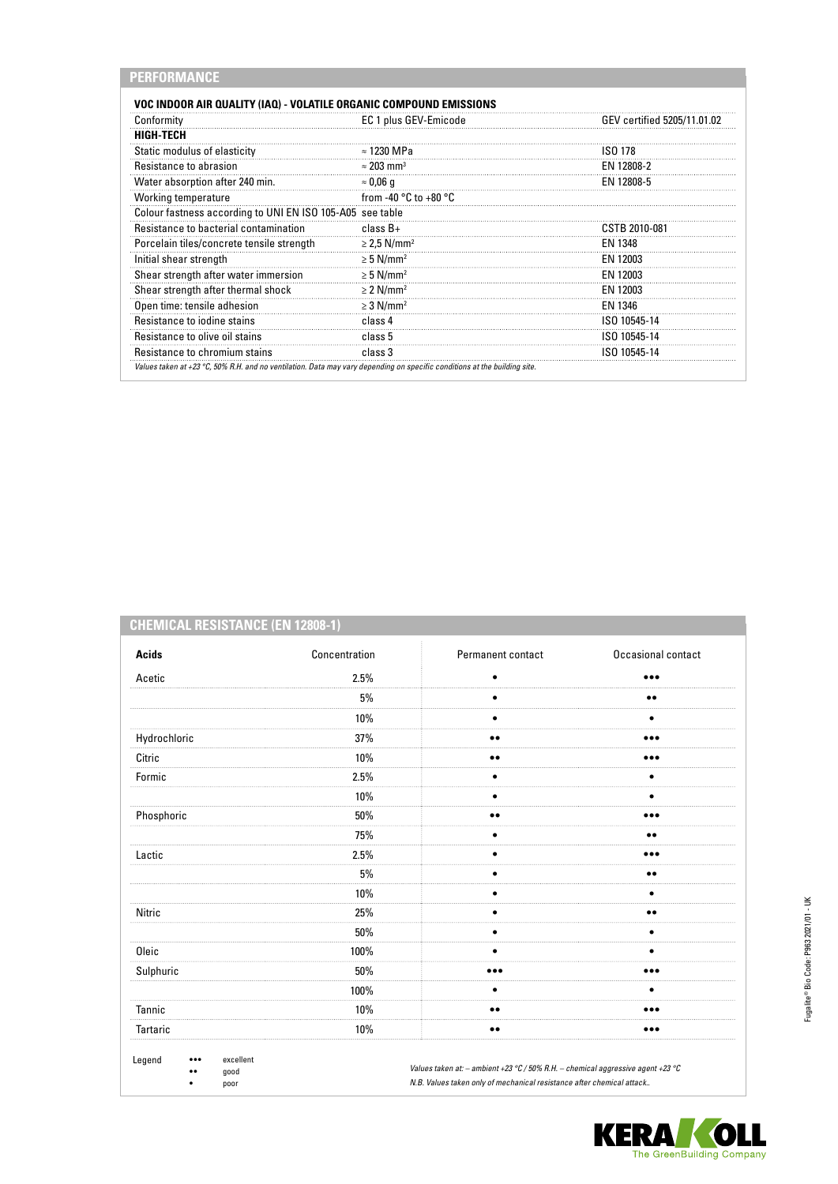| VOC INDOOR AIR QUALITY (IAQ) - VOLATILE ORGANIC COMPOUND EMISSIONS |                                           |                             |
|--------------------------------------------------------------------|-------------------------------------------|-----------------------------|
| Conformity                                                         | EC 1 plus GEV-Emicode                     | GEV certified 5205/11.01.02 |
| <b>HIGH-TECH</b>                                                   |                                           |                             |
| Static modulus of elasticity                                       | $\approx$ 1230 MPa                        | <b>ISO 178</b>              |
| Resistance to abrasion                                             | $\approx$ 203 mm <sup>3</sup>             | EN 12808-2                  |
| Water absorption after 240 min.                                    | $\approx 0.06$ q                          | EN 12808-5                  |
| Working temperature                                                | from -40 $^{\circ}$ C to +80 $^{\circ}$ C |                             |
| Colour fastness according to UNI EN ISO 105-A05 see table          |                                           |                             |
| Resistance to bacterial contamination                              | class $B+$                                | CSTB 2010-081               |
| Porcelain tiles/concrete tensile strength                          | $\geq$ 2,5 N/mm <sup>2</sup>              | EN 1348                     |
| Initial shear strength                                             | $\geq 5$ N/mm <sup>2</sup>                | EN 12003                    |
| Shear strength after water immersion                               | $\geq 5$ N/mm <sup>2</sup>                | EN 12003                    |
| Shear strength after thermal shock                                 | $\geq$ 2 N/mm <sup>2</sup>                | EN 12003                    |
| Open time: tensile adhesion                                        | $\geq$ 3 N/mm <sup>2</sup>                | EN 1346                     |
| Resistance to jodine stains                                        | class 4                                   | ISO 10545-14                |
| Resistance to olive oil stains                                     | class 5                                   | ISO 10545-14                |
| Resistance to chromium stains                                      | class 3                                   | ISO 10545-14                |

# **CHEMICAL RESISTANCE (EN 12808-1)**

| <b>Acids</b>                                             | Concentration | Permanent contact                                                                                                                                        | Occasional contact      |  |
|----------------------------------------------------------|---------------|----------------------------------------------------------------------------------------------------------------------------------------------------------|-------------------------|--|
| Acetic                                                   | 2.5%          | ٠                                                                                                                                                        |                         |  |
|                                                          | 5%            |                                                                                                                                                          | $\bullet\bullet$        |  |
|                                                          | 10%           |                                                                                                                                                          |                         |  |
| Hydrochloric                                             | 37%           | $\bullet\bullet$                                                                                                                                         | $\bullet\bullet\bullet$ |  |
| Citric                                                   | 10%           | $\bullet\bullet$                                                                                                                                         |                         |  |
| Formic                                                   | 2.5%          | ٠                                                                                                                                                        | ٠                       |  |
|                                                          | 10%           |                                                                                                                                                          | ٠                       |  |
| Phosphoric                                               | 50%           |                                                                                                                                                          |                         |  |
|                                                          | 75%           |                                                                                                                                                          | $\bullet\bullet$        |  |
| Lactic                                                   | 2.5%          |                                                                                                                                                          |                         |  |
|                                                          | 5%            |                                                                                                                                                          | $\bullet\bullet$        |  |
|                                                          | 10%           |                                                                                                                                                          | ٠                       |  |
| Nitric                                                   | 25%           |                                                                                                                                                          | $\bullet\bullet$        |  |
|                                                          | 50%           |                                                                                                                                                          |                         |  |
| Oleic                                                    | 100%          |                                                                                                                                                          |                         |  |
| Sulphuric                                                | 50%           |                                                                                                                                                          |                         |  |
|                                                          | 100%          |                                                                                                                                                          |                         |  |
| Tannic                                                   | 10%           | $\bullet\bullet$                                                                                                                                         |                         |  |
| Tartaric                                                 | 10%           | $\bullet\bullet$                                                                                                                                         | $\bullet\bullet\bullet$ |  |
| excellent<br>Legend<br>$\cdots$<br>good<br><br>poor<br>٠ |               | Values taken at: - ambient +23 °C / 50% R.H. - chemical aggressive agent +23 °C<br>N.B. Values taken only of mechanical resistance after chemical attack |                         |  |

**KERA OLL**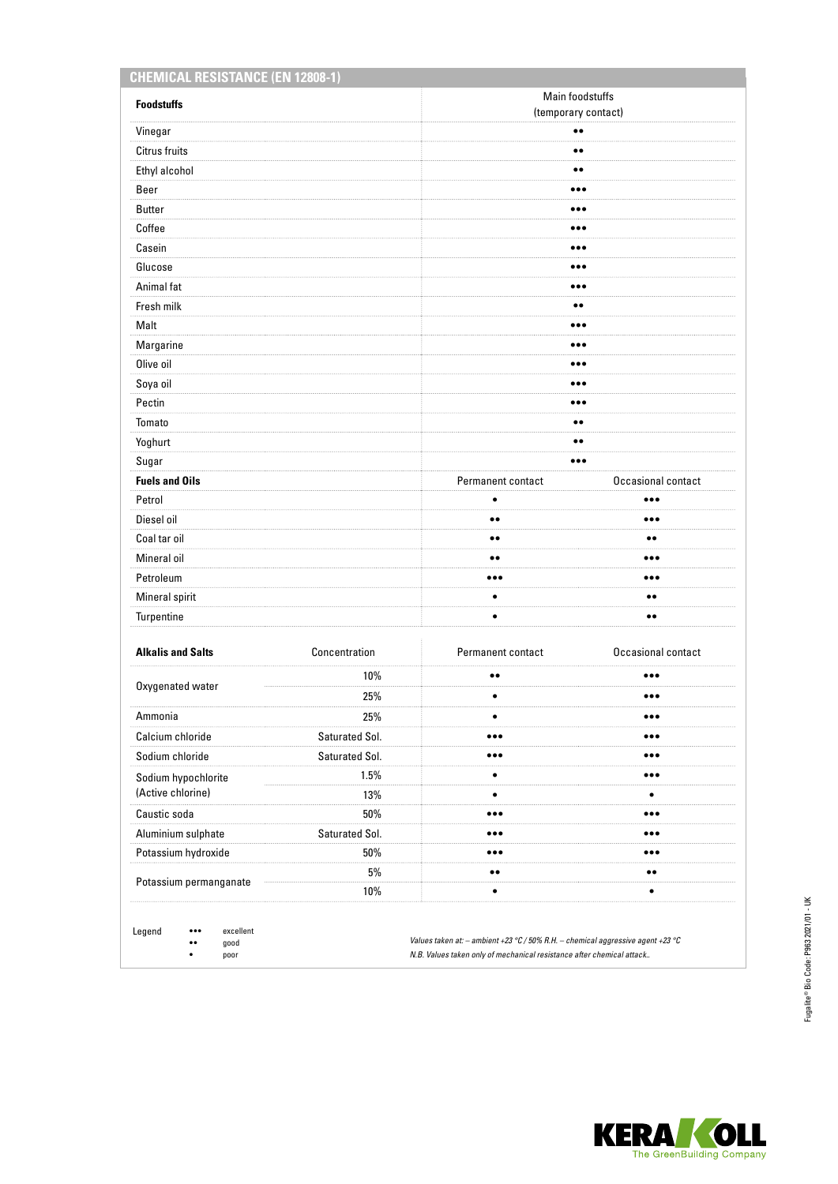| <b>Foodstuffs</b>        |                | Main foodstuffs                                    |                         |  |
|--------------------------|----------------|----------------------------------------------------|-------------------------|--|
| Vinegar                  |                | (temporary contact)<br>$\bullet\bullet$            |                         |  |
| <b>Citrus fruits</b>     |                | $\bullet\bullet$                                   |                         |  |
| Ethyl alcohol            |                | $\bullet\bullet$                                   |                         |  |
| Beer                     |                |                                                    |                         |  |
|                          |                | $\bullet\bullet\bullet$<br>$\bullet\bullet\bullet$ |                         |  |
| <b>Butter</b><br>Coffee  |                | $\bullet\bullet\bullet$                            |                         |  |
|                          |                |                                                    |                         |  |
| Casein                   |                | $\bullet\bullet\bullet$<br>$\bullet\bullet\bullet$ |                         |  |
| Glucose                  |                |                                                    |                         |  |
| Animal fat               |                | $\bullet\bullet\bullet$                            |                         |  |
| Fresh milk               |                | $\bullet\bullet$                                   |                         |  |
| Malt                     |                | $\bullet\bullet\bullet$                            |                         |  |
| Margarine                |                | $\bullet\bullet\bullet$                            |                         |  |
| Olive oil                |                |                                                    |                         |  |
| Soya oil                 |                | $\bullet\bullet\bullet$                            |                         |  |
| Pectin                   |                | $\bullet\bullet\bullet$                            |                         |  |
| Tomato                   |                | $\bullet\bullet$                                   |                         |  |
| Yoghurt                  |                | $\bullet\bullet$                                   |                         |  |
| Sugar                    |                | $\bullet\bullet\bullet$                            |                         |  |
| <b>Fuels and Oils</b>    |                | Permanent contact                                  | Occasional contact      |  |
| Petrol                   |                | ٠                                                  | $\bullet\bullet\bullet$ |  |
| Diesel oil               |                | $\bullet\bullet$                                   | $\bullet\bullet\bullet$ |  |
| Coal tar oil             |                | $\bullet\,\bullet$                                 | $\bullet\bullet$        |  |
| Mineral oil              |                | $\bullet\,\bullet$                                 | $\bullet\bullet\bullet$ |  |
| Petroleum                |                | $\bullet\bullet\bullet$                            | $\bullet\bullet\bullet$ |  |
| Mineral spirit           |                | $\bullet$                                          | $\bullet\bullet$        |  |
| Turpentine               |                | $\bullet$                                          | $\bullet\bullet$        |  |
| <b>Alkalis and Salts</b> | Concentration  | Permanent contact                                  | Occasional contact      |  |
|                          | 10%            | $\bullet\bullet$                                   |                         |  |
| Oxygenated water         | 25%            | $\bullet$                                          | $\bullet\bullet\bullet$ |  |
| Ammonia                  | 25%            | $\bullet$                                          |                         |  |
| Calcium chloride         | Saturated Sol. | $\bullet\bullet\bullet$                            |                         |  |
| Sodium chloride          | Saturated Sol. | $\bullet\bullet\bullet$                            | $\bullet\bullet\bullet$ |  |
| Sodium hypochlorite      | 1.5%           | $\bullet$                                          | $\bullet\bullet\bullet$ |  |
| (Active chlorine)        | 13%            | $\bullet$                                          | ٠                       |  |
| Caustic soda             | 50%            |                                                    | $\bullet\bullet\bullet$ |  |
| Aluminium sulphate       | Saturated Sol. |                                                    | $\bullet\bullet\bullet$ |  |
| Potassium hydroxide      | 50%            | $\bullet\bullet\bullet$                            | $\bullet\bullet\bullet$ |  |
|                          | 5%             | $\bullet\,\bullet$                                 | $\bullet\,\bullet$      |  |
| Potassium permanganate   | 10%            | $\bullet$                                          | $\bullet$               |  |

•• good • poor

*Values taken at: – ambient +23 °C / 50% R.H. – chemical aggressive agent +23 °C N.B. Values taken only of mechanical resistance after chemical attack..*

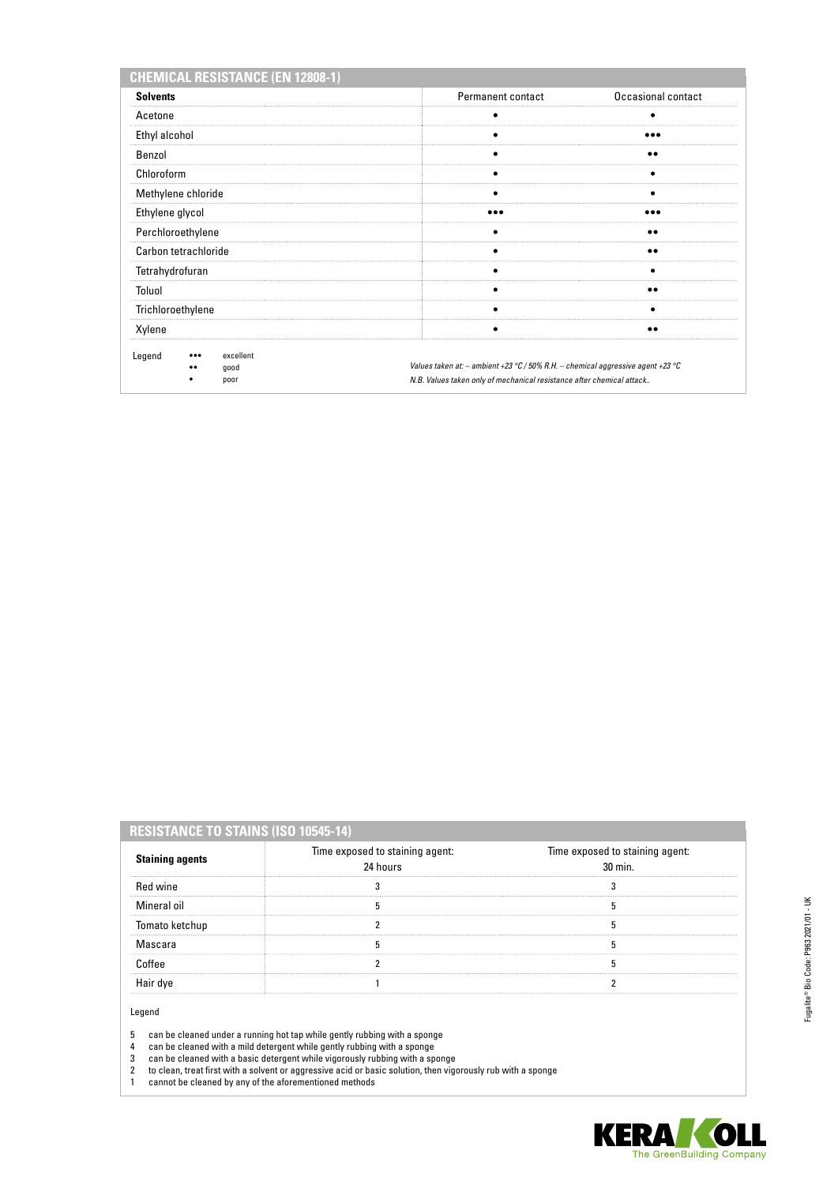| <b>CHEMICAL RESISTANCE (EN 12808-1)</b>                        |                                                                                                                                                              |                    |
|----------------------------------------------------------------|--------------------------------------------------------------------------------------------------------------------------------------------------------------|--------------------|
| <b>Solvents</b>                                                | Permanent contact                                                                                                                                            | Occasional contact |
| Acetone                                                        |                                                                                                                                                              |                    |
| Ethyl alcohol                                                  |                                                                                                                                                              |                    |
| Benzol                                                         |                                                                                                                                                              |                    |
| Chloroform                                                     |                                                                                                                                                              |                    |
| Methylene chloride                                             |                                                                                                                                                              |                    |
| Ethylene glycol                                                |                                                                                                                                                              |                    |
| Perchloroethylene                                              |                                                                                                                                                              |                    |
| Carbon tetrachloride                                           |                                                                                                                                                              |                    |
| Tetrahydrofuran                                                |                                                                                                                                                              |                    |
| Toluol                                                         |                                                                                                                                                              |                    |
| Trichloroethylene                                              |                                                                                                                                                              |                    |
| Xylene                                                         |                                                                                                                                                              |                    |
| Legend<br>excellent<br>$\bullet\bullet\bullet$<br>good<br>poor | Values taken at: $-$ ambient +23 °C / 50% R.H. $-$ chemical aggressive agent +23 °C<br>N.B. Values taken only of mechanical resistance after chemical attack |                    |

| <b>RESISTANCE TO STAINS (ISO 10545-14)</b> |
|--------------------------------------------|
|--------------------------------------------|

| <b>Staining agents</b> | Time exposed to staining agent:<br>24 hours | Time exposed to staining agent:<br>$30 \text{ min}$ |
|------------------------|---------------------------------------------|-----------------------------------------------------|
| Red wine               |                                             |                                                     |
| Mineral oil            |                                             |                                                     |
| Tomato ketchup         |                                             |                                                     |
| Mascara                |                                             |                                                     |
|                        |                                             |                                                     |
|                        |                                             |                                                     |
|                        |                                             |                                                     |

Legend

5 can be cleaned under a running hot tap while gently rubbing with a sponge

4 can be cleaned with a mild detergent while gently rubbing with a sponge

3 can be cleaned with a basic detergent while vigorously rubbing with a sponge

2 to clean, treat first with a solvent or aggressive acid or basic solution, then vigorously rub with a sponge

1 cannot be cleaned by any of the aforementioned methods